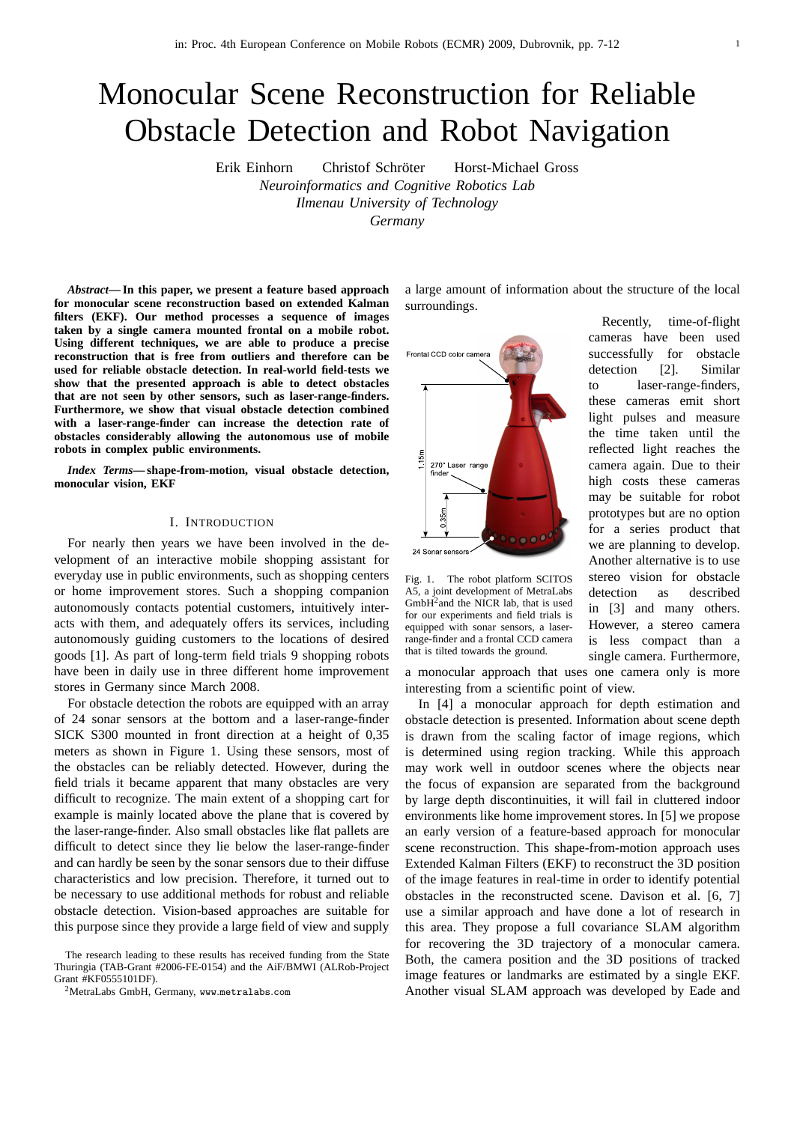# Monocular Scene Reconstruction for Reliable Obstacle Detection and Robot Navigation

Erik Einhorn Christof Schröter Horst-Michael Gross *Neuroinformatics and Cognitive Robotics Lab Ilmenau University of Technology Germany*

*Abstract***— In this paper, we present a feature based approach for monocular scene reconstruction based on extended Kalman filters (EKF). Our method processes a sequence of images taken by a single camera mounted frontal on a mobile robot. Using different techniques, we are able to produce a precise reconstruction that is free from outliers and therefore can be used for reliable obstacle detection. In real-world field-tests we show that the presented approach is able to detect obstacles that are not seen by other sensors, such as laser-range-finders. Furthermore, we show that visual obstacle detection combined with a laser-range-finder can increase the detection rate of obstacles considerably allowing the autonomous use of mobile robots in complex public environments.**

*Index Terms***— shape-from-motion, visual obstacle detection, monocular vision, EKF**

# I. INTRODUCTION

For nearly then years we have been involved in the development of an interactive mobile shopping assistant for everyday use in public environments, such as shopping centers or home improvement stores. Such a shopping companion autonomously contacts potential customers, intuitively interacts with them, and adequately offers its services, including autonomously guiding customers to the locations of desired goods [1]. As part of long-term field trials 9 shopping robots have been in daily use in three different home improvement stores in Germany since March 2008.

For obstacle detection the robots are equipped with an array of 24 sonar sensors at the bottom and a laser-range-finder SICK S300 mounted in front direction at a height of 0,35 meters as shown in Figure 1. Using these sensors, most of the obstacles can be reliably detected. However, during the field trials it became apparent that many obstacles are very difficult to recognize. The main extent of a shopping cart for example is mainly located above the plane that is covered by the laser-range-finder. Also small obstacles like flat pallets are difficult to detect since they lie below the laser-range-finder and can hardly be seen by the sonar sensors due to their diffuse characteristics and low precision. Therefore, it turned out to be necessary to use additional methods for robust and reliable obstacle detection. Vision-based approaches are suitable for this purpose since they provide a large field of view and supply

The research leading to these results has received funding from the State Thuringia (TAB-Grant #2006-FE-0154) and the AiF/BMWI (ALRob-Project Grant #KF0555101DF).

<sup>2</sup>MetraLabs GmbH, Germany, www.metralabs.com

a large amount of information about the structure of the local surroundings.



Fig. 1. The robot platform SCITOS A5, a joint development of MetraLabs  $GmbH<sup>2</sup>$  and the NICR lab, that is used for our experiments and field trials is equipped with sonar sensors, a laserrange-finder and a frontal CCD camera that is tilted towards the ground.

a monocular approach that uses one camera only is more interesting from a scientific point of view.

In [4] a monocular approach for depth estimation and obstacle detection is presented. Information about scene depth is drawn from the scaling factor of image regions, which is determined using region tracking. While this approach may work well in outdoor scenes where the objects near the focus of expansion are separated from the background by large depth discontinuities, it will fail in cluttered indoor environments like home improvement stores. In [5] we propose an early version of a feature-based approach for monocular scene reconstruction. This shape-from-motion approach uses Extended Kalman Filters (EKF) to reconstruct the 3D position of the image features in real-time in order to identify potential obstacles in the reconstructed scene. Davison et al. [6, 7] use a similar approach and have done a lot of research in this area. They propose a full covariance SLAM algorithm for recovering the 3D trajectory of a monocular camera. Both, the camera position and the 3D positions of tracked image features or landmarks are estimated by a single EKF. Another visual SLAM approach was developed by Eade and

Recently, time-of-flight cameras have been used successfully for obstacle detection [2]. Similar to laser-range-finders, these cameras emit short light pulses and measure the time taken until the reflected light reaches the camera again. Due to their high costs these cameras may be suitable for robot prototypes but are no option for a series product that we are planning to develop. Another alternative is to use stereo vision for obstacle detection as described in [3] and many others. However, a stereo camera

is less compact than a single camera. Furthermore,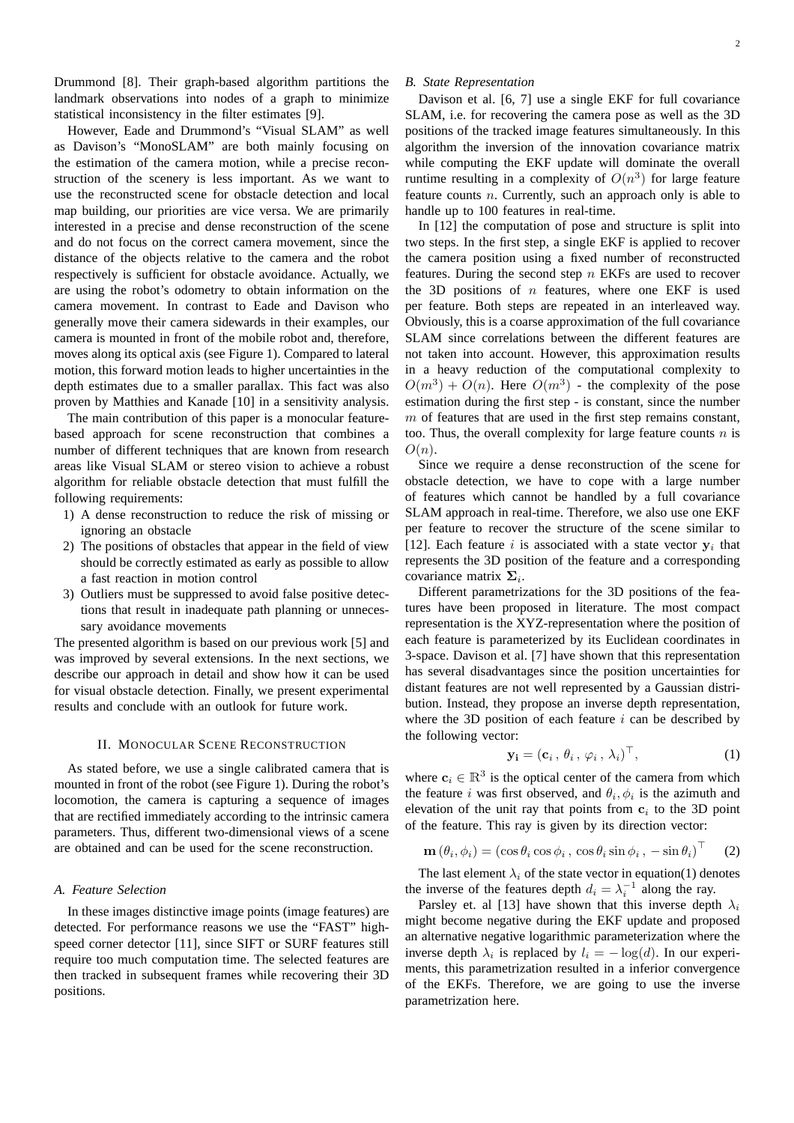Drummond [8]. Their graph-based algorithm partitions the landmark observations into nodes of a graph to minimize statistical inconsistency in the filter estimates [9].

However, Eade and Drummond's "Visual SLAM" as well as Davison's "MonoSLAM" are both mainly focusing on the estimation of the camera motion, while a precise reconstruction of the scenery is less important. As we want to use the reconstructed scene for obstacle detection and local map building, our priorities are vice versa. We are primarily interested in a precise and dense reconstruction of the scene and do not focus on the correct camera movement, since the distance of the objects relative to the camera and the robot respectively is sufficient for obstacle avoidance. Actually, we are using the robot's odometry to obtain information on the camera movement. In contrast to Eade and Davison who generally move their camera sidewards in their examples, our camera is mounted in front of the mobile robot and, therefore, moves along its optical axis (see Figure 1). Compared to lateral motion, this forward motion leads to higher uncertainties in the depth estimates due to a smaller parallax. This fact was also proven by Matthies and Kanade [10] in a sensitivity analysis.

The main contribution of this paper is a monocular featurebased approach for scene reconstruction that combines a number of different techniques that are known from research areas like Visual SLAM or stereo vision to achieve a robust algorithm for reliable obstacle detection that must fulfill the following requirements:

- 1) A dense reconstruction to reduce the risk of missing or ignoring an obstacle
- 2) The positions of obstacles that appear in the field of view should be correctly estimated as early as possible to allow a fast reaction in motion control
- 3) Outliers must be suppressed to avoid false positive detections that result in inadequate path planning or unnecessary avoidance movements

The presented algorithm is based on our previous work [5] and was improved by several extensions. In the next sections, we describe our approach in detail and show how it can be used for visual obstacle detection. Finally, we present experimental results and conclude with an outlook for future work.

#### II. MONOCULAR SCENE RECONSTRUCTION

As stated before, we use a single calibrated camera that is mounted in front of the robot (see Figure 1). During the robot's locomotion, the camera is capturing a sequence of images that are rectified immediately according to the intrinsic camera parameters. Thus, different two-dimensional views of a scene are obtained and can be used for the scene reconstruction.

#### *A. Feature Selection*

In these images distinctive image points (image features) are detected. For performance reasons we use the "FAST" highspeed corner detector [11], since SIFT or SURF features still require too much computation time. The selected features are then tracked in subsequent frames while recovering their 3D positions.

# *B. State Representation*

Davison et al. [6, 7] use a single EKF for full covariance SLAM, i.e. for recovering the camera pose as well as the 3D positions of the tracked image features simultaneously. In this algorithm the inversion of the innovation covariance matrix while computing the EKF update will dominate the overall runtime resulting in a complexity of  $O(n^3)$  for large feature feature counts n. Currently, such an approach only is able to handle up to 100 features in real-time.

In [12] the computation of pose and structure is split into two steps. In the first step, a single EKF is applied to recover the camera position using a fixed number of reconstructed features. During the second step  $n$  EKFs are used to recover the 3D positions of  $n$  features, where one EKF is used per feature. Both steps are repeated in an interleaved way. Obviously, this is a coarse approximation of the full covariance SLAM since correlations between the different features are not taken into account. However, this approximation results in a heavy reduction of the computational complexity to  $O(m^3) + O(n)$ . Here  $O(m^3)$  - the complexity of the pose estimation during the first step - is constant, since the number  $m$  of features that are used in the first step remains constant, too. Thus, the overall complexity for large feature counts  $n$  is  $O(n)$ .

Since we require a dense reconstruction of the scene for obstacle detection, we have to cope with a large number of features which cannot be handled by a full covariance SLAM approach in real-time. Therefore, we also use one EKF per feature to recover the structure of the scene similar to [12]. Each feature i is associated with a state vector  $y_i$  that represents the 3D position of the feature and a corresponding covariance matrix  $\Sigma_i$ .

Different parametrizations for the 3D positions of the features have been proposed in literature. The most compact representation is the XYZ-representation where the position of each feature is parameterized by its Euclidean coordinates in 3-space. Davison et al. [7] have shown that this representation has several disadvantages since the position uncertainties for distant features are not well represented by a Gaussian distribution. Instead, they propose an inverse depth representation, where the 3D position of each feature  $i$  can be described by the following vector:

$$
\mathbf{y_i} = (\mathbf{c}_i, \theta_i, \varphi_i, \lambda_i)^\top, \tag{1}
$$

where  $c_i \in \mathbb{R}^3$  is the optical center of the camera from which the feature *i* was first observed, and  $\theta_i$ ,  $\phi_i$  is the azimuth and elevation of the unit ray that points from  $c_i$  to the 3D point of the feature. This ray is given by its direction vector:

$$
\mathbf{m}(\theta_i, \phi_i) = (\cos \theta_i \cos \phi_i, \cos \theta_i \sin \phi_i, -\sin \theta_i)^\top \quad (2)
$$

The last element  $\lambda_i$  of the state vector in equation(1) denotes the inverse of the features depth  $d_i = \lambda_i^{-1}$  along the ray.

Parsley et. al [13] have shown that this inverse depth  $\lambda_i$ might become negative during the EKF update and proposed an alternative negative logarithmic parameterization where the inverse depth  $\lambda_i$  is replaced by  $l_i = -\log(d)$ . In our experiments, this parametrization resulted in a inferior convergence of the EKFs. Therefore, we are going to use the inverse parametrization here.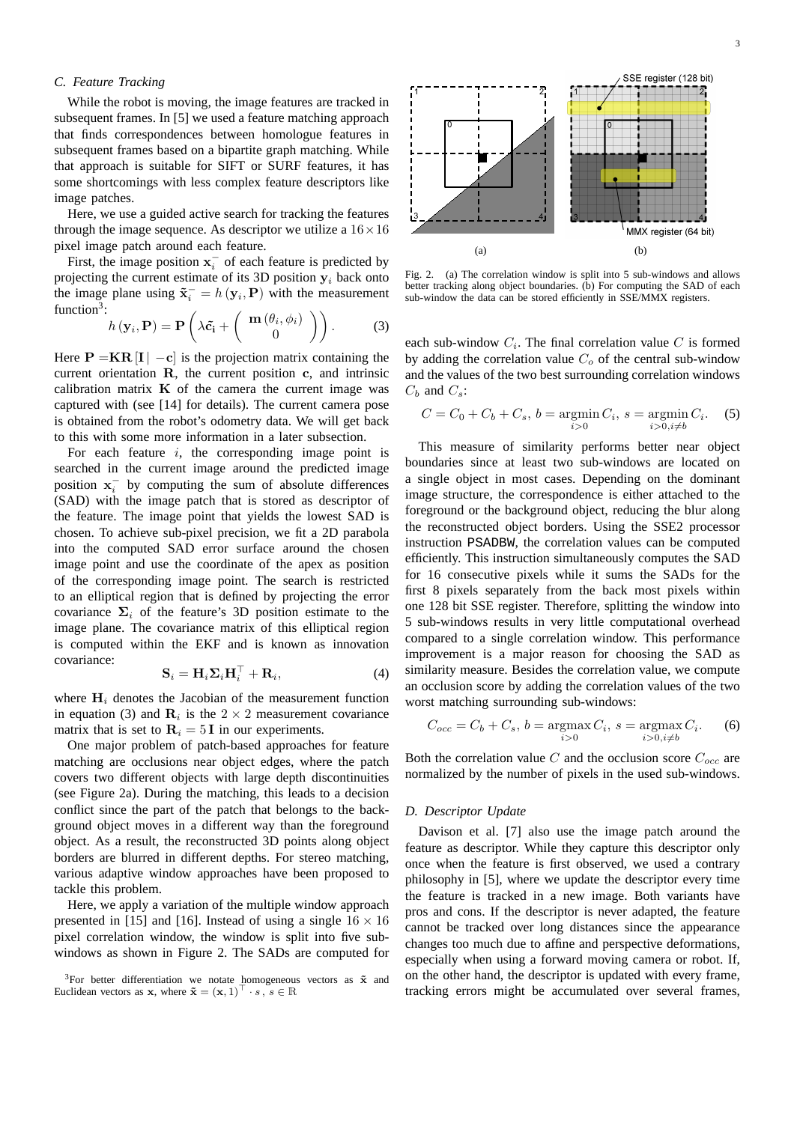# *C. Feature Tracking*

While the robot is moving, the image features are tracked in subsequent frames. In [5] we used a feature matching approach that finds correspondences between homologue features in subsequent frames based on a bipartite graph matching. While that approach is suitable for SIFT or SURF features, it has some shortcomings with less complex feature descriptors like image patches.

Here, we use a guided active search for tracking the features through the image sequence. As descriptor we utilize a  $16 \times 16$ pixel image patch around each feature.

First, the image position  $x_i^-$  of each feature is predicted by projecting the current estimate of its 3D position  $y_i$  back onto the image plane using  $\tilde{\mathbf{x}}_i^- = h(\mathbf{y}_i, \mathbf{P})$  with the measurement function<sup>3</sup>:

$$
h(\mathbf{y}_i, \mathbf{P}) = \mathbf{P}\left(\lambda \tilde{\mathbf{c}}_i + \left(\begin{array}{c} \mathbf{m}\left(\theta_i, \phi_i\right) \\ 0 \end{array}\right)\right). \tag{3}
$$

Here  $P = KR[I] - c$  is the projection matrix containing the current orientation R, the current position c, and intrinsic calibration matrix  $\bf{K}$  of the camera the current image was captured with (see [14] for details). The current camera pose is obtained from the robot's odometry data. We will get back to this with some more information in a later subsection.

For each feature  $i$ , the corresponding image point is searched in the current image around the predicted image position  $x_i^-$  by computing the sum of absolute differences (SAD) with the image patch that is stored as descriptor of the feature. The image point that yields the lowest SAD is chosen. To achieve sub-pixel precision, we fit a 2D parabola into the computed SAD error surface around the chosen image point and use the coordinate of the apex as position of the corresponding image point. The search is restricted to an elliptical region that is defined by projecting the error covariance  $\Sigma_i$  of the feature's 3D position estimate to the image plane. The covariance matrix of this elliptical region is computed within the EKF and is known as innovation covariance:

$$
\mathbf{S}_{i} = \mathbf{H}_{i} \mathbf{\Sigma}_{i} \mathbf{H}_{i}^{\top} + \mathbf{R}_{i}, \tag{4}
$$

where  $H_i$  denotes the Jacobian of the measurement function in equation (3) and  $\mathbf{R}_i$  is the  $2 \times 2$  measurement covariance matrix that is set to  $\mathbf{R}_i = 5$  I in our experiments.

One major problem of patch-based approaches for feature matching are occlusions near object edges, where the patch covers two different objects with large depth discontinuities (see Figure 2a). During the matching, this leads to a decision conflict since the part of the patch that belongs to the background object moves in a different way than the foreground object. As a result, the reconstructed 3D points along object borders are blurred in different depths. For stereo matching, various adaptive window approaches have been proposed to tackle this problem.

Here, we apply a variation of the multiple window approach presented in [15] and [16]. Instead of using a single  $16 \times 16$ pixel correlation window, the window is split into five subwindows as shown in Figure 2. The SADs are computed for



Fig. 2. (a) The correlation window is split into 5 sub-windows and allows better tracking along object boundaries. (b) For computing the SAD of each sub-window the data can be stored efficiently in SSE/MMX registers.

each sub-window  $C_i$ . The final correlation value C is formed by adding the correlation value  $C<sub>o</sub>$  of the central sub-window and the values of the two best surrounding correlation windows  $C_b$  and  $C_s$ :

$$
C = C_0 + C_b + C_s, \, b = \operatorname*{argmin}_{i > 0} C_i, \, s = \operatorname*{argmin}_{i > 0, i \neq b} C_i. \tag{5}
$$

This measure of similarity performs better near object boundaries since at least two sub-windows are located on a single object in most cases. Depending on the dominant image structure, the correspondence is either attached to the foreground or the background object, reducing the blur along the reconstructed object borders. Using the SSE2 processor instruction PSADBW, the correlation values can be computed efficiently. This instruction simultaneously computes the SAD for 16 consecutive pixels while it sums the SADs for the first 8 pixels separately from the back most pixels within one 128 bit SSE register. Therefore, splitting the window into 5 sub-windows results in very little computational overhead compared to a single correlation window. This performance improvement is a major reason for choosing the SAD as similarity measure. Besides the correlation value, we compute an occlusion score by adding the correlation values of the two worst matching surrounding sub-windows:

$$
C_{occ} = C_b + C_s, b = \underset{i>0}{\operatorname{argmax}} C_i, s = \underset{i>0, i \neq b}{\operatorname{argmax}} C_i.
$$
 (6)

Both the correlation value C and the occlusion score  $C_{occ}$  are normalized by the number of pixels in the used sub-windows.

## *D. Descriptor Update*

Davison et al. [7] also use the image patch around the feature as descriptor. While they capture this descriptor only once when the feature is first observed, we used a contrary philosophy in [5], where we update the descriptor every time the feature is tracked in a new image. Both variants have pros and cons. If the descriptor is never adapted, the feature cannot be tracked over long distances since the appearance changes too much due to affine and perspective deformations, especially when using a forward moving camera or robot. If, on the other hand, the descriptor is updated with every frame,

<sup>&</sup>lt;sup>3</sup>For better differentiation we notate homogeneous vectors as  $\tilde{\mathbf{x}}$  and Euclidean vectors as x, where  $\tilde{\mathbf{x}} = (\mathbf{x}, 1)^{\top} \cdot s$ ,  $s \in \mathbb{R}$  tracking errors might be accumulated over several frames,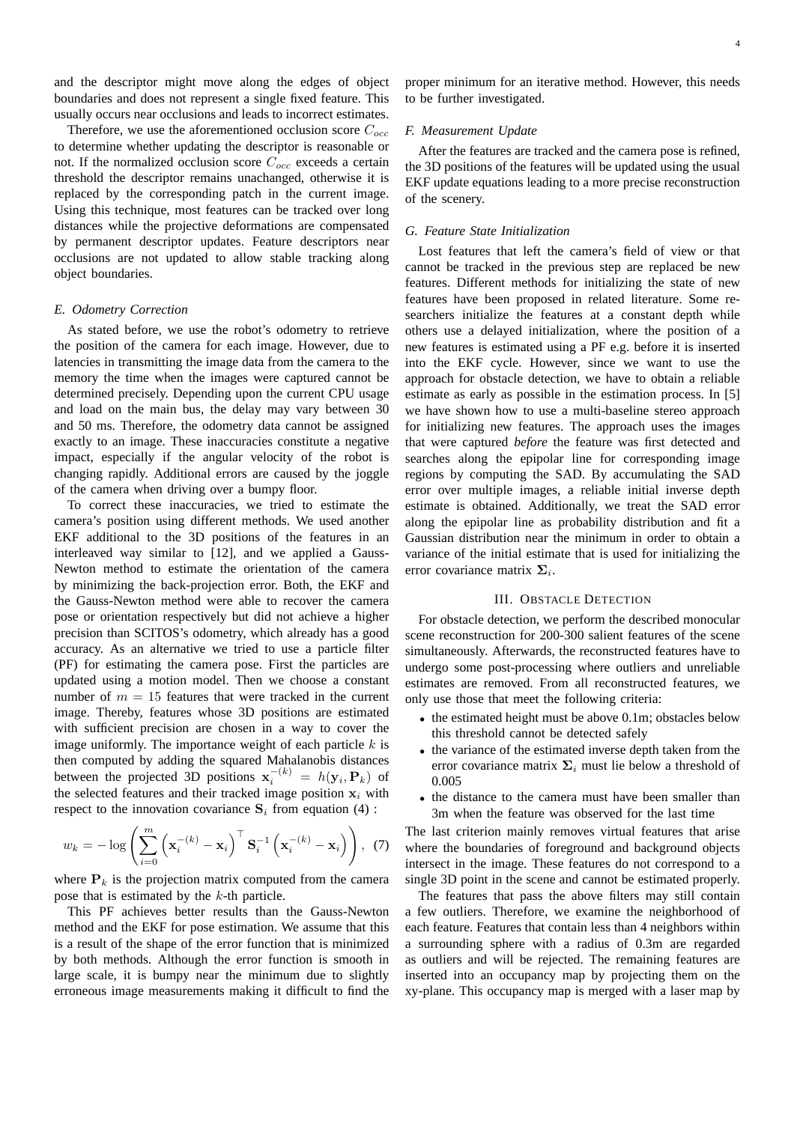and the descriptor might move along the edges of object boundaries and does not represent a single fixed feature. This usually occurs near occlusions and leads to incorrect estimates.

Therefore, we use the aforementioned occlusion score  $C_{occ}$ to determine whether updating the descriptor is reasonable or not. If the normalized occlusion score  $C_{occ}$  exceeds a certain threshold the descriptor remains unachanged, otherwise it is replaced by the corresponding patch in the current image. Using this technique, most features can be tracked over long distances while the projective deformations are compensated by permanent descriptor updates. Feature descriptors near occlusions are not updated to allow stable tracking along object boundaries.

#### *E. Odometry Correction*

As stated before, we use the robot's odometry to retrieve the position of the camera for each image. However, due to latencies in transmitting the image data from the camera to the memory the time when the images were captured cannot be determined precisely. Depending upon the current CPU usage and load on the main bus, the delay may vary between 30 and 50 ms. Therefore, the odometry data cannot be assigned exactly to an image. These inaccuracies constitute a negative impact, especially if the angular velocity of the robot is changing rapidly. Additional errors are caused by the joggle of the camera when driving over a bumpy floor.

To correct these inaccuracies, we tried to estimate the camera's position using different methods. We used another EKF additional to the 3D positions of the features in an interleaved way similar to [12], and we applied a Gauss-Newton method to estimate the orientation of the camera by minimizing the back-projection error. Both, the EKF and the Gauss-Newton method were able to recover the camera pose or orientation respectively but did not achieve a higher precision than SCITOS's odometry, which already has a good accuracy. As an alternative we tried to use a particle filter (PF) for estimating the camera pose. First the particles are updated using a motion model. Then we choose a constant number of  $m = 15$  features that were tracked in the current image. Thereby, features whose 3D positions are estimated with sufficient precision are chosen in a way to cover the image uniformly. The importance weight of each particle  $k$  is then computed by adding the squared Mahalanobis distances between the projected 3D positions  $\mathbf{x}_i^{-(k)} = h(\mathbf{y}_i, \mathbf{P}_k)$  of the selected features and their tracked image position  $x_i$  with respect to the innovation covariance  $S_i$  from equation (4) :

$$
w_k = -\log\left(\sum_{i=0}^m \left(\mathbf{x}_i^{-(k)} - \mathbf{x}_i\right)^\top \mathbf{S}_i^{-1} \left(\mathbf{x}_i^{-(k)} - \mathbf{x}_i\right)\right), \tag{7}
$$

where  $P_k$  is the projection matrix computed from the camera pose that is estimated by the k-th particle.

This PF achieves better results than the Gauss-Newton method and the EKF for pose estimation. We assume that this is a result of the shape of the error function that is minimized by both methods. Although the error function is smooth in large scale, it is bumpy near the minimum due to slightly erroneous image measurements making it difficult to find the

proper minimum for an iterative method. However, this needs to be further investigated.

# *F. Measurement Update*

After the features are tracked and the camera pose is refined, the 3D positions of the features will be updated using the usual EKF update equations leading to a more precise reconstruction of the scenery.

#### *G. Feature State Initialization*

Lost features that left the camera's field of view or that cannot be tracked in the previous step are replaced be new features. Different methods for initializing the state of new features have been proposed in related literature. Some researchers initialize the features at a constant depth while others use a delayed initialization, where the position of a new features is estimated using a PF e.g. before it is inserted into the EKF cycle. However, since we want to use the approach for obstacle detection, we have to obtain a reliable estimate as early as possible in the estimation process. In [5] we have shown how to use a multi-baseline stereo approach for initializing new features. The approach uses the images that were captured *before* the feature was first detected and searches along the epipolar line for corresponding image regions by computing the SAD. By accumulating the SAD error over multiple images, a reliable initial inverse depth estimate is obtained. Additionally, we treat the SAD error along the epipolar line as probability distribution and fit a Gaussian distribution near the minimum in order to obtain a variance of the initial estimate that is used for initializing the error covariance matrix  $\Sigma_i$ .

#### III. OBSTACLE DETECTION

For obstacle detection, we perform the described monocular scene reconstruction for 200-300 salient features of the scene simultaneously. Afterwards, the reconstructed features have to undergo some post-processing where outliers and unreliable estimates are removed. From all reconstructed features, we only use those that meet the following criteria:

- the estimated height must be above 0.1m; obstacles below this threshold cannot be detected safely
- the variance of the estimated inverse depth taken from the error covariance matrix  $\Sigma_i$  must lie below a threshold of 0.005
- the distance to the camera must have been smaller than 3m when the feature was observed for the last time

The last criterion mainly removes virtual features that arise where the boundaries of foreground and background objects intersect in the image. These features do not correspond to a single 3D point in the scene and cannot be estimated properly.

The features that pass the above filters may still contain a few outliers. Therefore, we examine the neighborhood of each feature. Features that contain less than 4 neighbors within a surrounding sphere with a radius of 0.3m are regarded as outliers and will be rejected. The remaining features are inserted into an occupancy map by projecting them on the xy-plane. This occupancy map is merged with a laser map by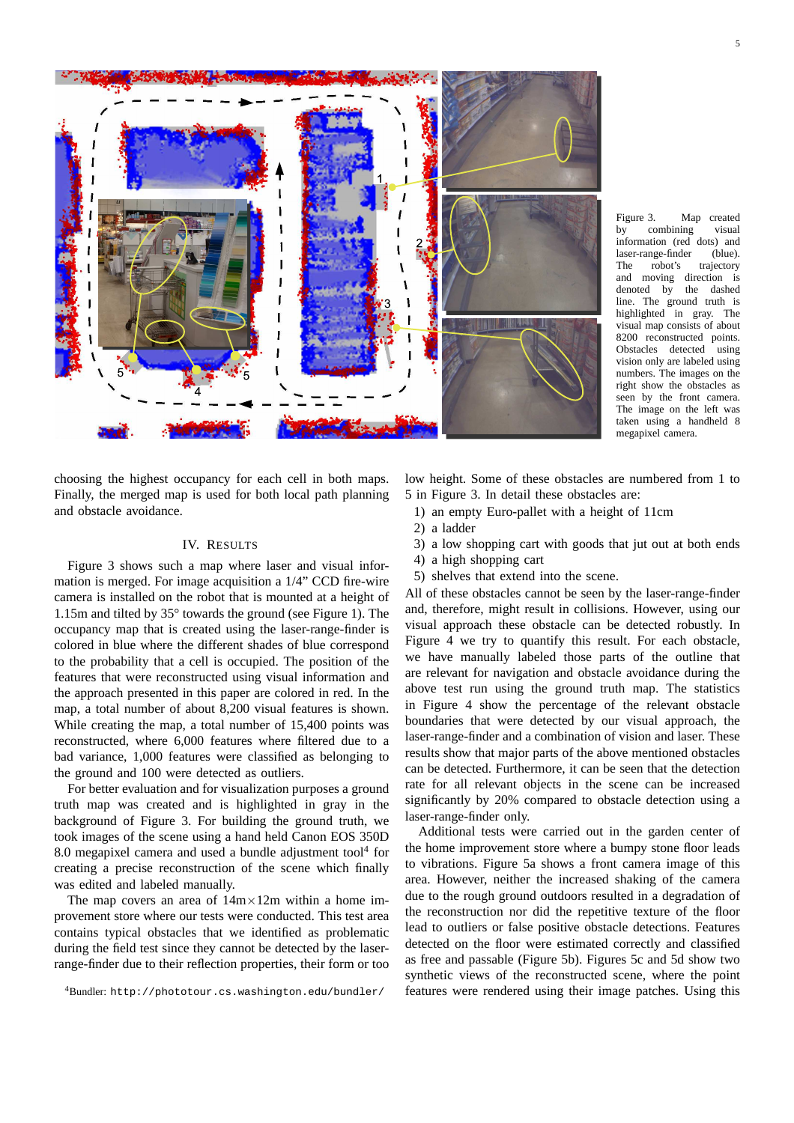

Figure 3. Map created by combining visual information (red dots) and laser-range-finder (blue). The robot's trajectory and moving direction is denoted by the dashed line. The ground truth is highlighted in gray. The visual map consists of about 8200 reconstructed points.<br>Obstacles detected using Obstacles detected vision only are labeled using numbers. The images on the right show the obstacles as seen by the front camera. The image on the left was taken using a handheld 8 megapixel camera.

choosing the highest occupancy for each cell in both maps. Finally, the merged map is used for both local path planning and obstacle avoidance.

### IV. RESULTS

Figure 3 shows such a map where laser and visual information is merged. For image acquisition a 1/4" CCD fire-wire camera is installed on the robot that is mounted at a height of 1.15m and tilted by 35° towards the ground (see Figure 1). The occupancy map that is created using the laser-range-finder is colored in blue where the different shades of blue correspond to the probability that a cell is occupied. The position of the features that were reconstructed using visual information and the approach presented in this paper are colored in red. In the map, a total number of about 8,200 visual features is shown. While creating the map, a total number of 15,400 points was reconstructed, where 6,000 features where filtered due to a bad variance, 1,000 features were classified as belonging to the ground and 100 were detected as outliers.

For better evaluation and for visualization purposes a ground truth map was created and is highlighted in gray in the background of Figure 3. For building the ground truth, we took images of the scene using a hand held Canon EOS 350D 8.0 megapixel camera and used a bundle adjustment tool $4$  for creating a precise reconstruction of the scene which finally was edited and labeled manually.

The map covers an area of  $14m \times 12m$  within a home improvement store where our tests were conducted. This test area contains typical obstacles that we identified as problematic during the field test since they cannot be detected by the laserrange-finder due to their reflection properties, their form or too

low height. Some of these obstacles are numbered from 1 to 5 in Figure 3. In detail these obstacles are:

- 1) an empty Euro-pallet with a height of 11cm
- 2) a ladder
- 3) a low shopping cart with goods that jut out at both ends
- 4) a high shopping cart
- 5) shelves that extend into the scene.

All of these obstacles cannot be seen by the laser-range-finder and, therefore, might result in collisions. However, using our visual approach these obstacle can be detected robustly. In Figure 4 we try to quantify this result. For each obstacle, we have manually labeled those parts of the outline that are relevant for navigation and obstacle avoidance during the above test run using the ground truth map. The statistics in Figure 4 show the percentage of the relevant obstacle boundaries that were detected by our visual approach, the laser-range-finder and a combination of vision and laser. These results show that major parts of the above mentioned obstacles can be detected. Furthermore, it can be seen that the detection rate for all relevant objects in the scene can be increased significantly by 20% compared to obstacle detection using a laser-range-finder only.

Additional tests were carried out in the garden center of the home improvement store where a bumpy stone floor leads to vibrations. Figure 5a shows a front camera image of this area. However, neither the increased shaking of the camera due to the rough ground outdoors resulted in a degradation of the reconstruction nor did the repetitive texture of the floor lead to outliers or false positive obstacle detections. Features detected on the floor were estimated correctly and classified as free and passable (Figure 5b). Figures 5c and 5d show two synthetic views of the reconstructed scene, where the point features were rendered using their image patches. Using this

<sup>4</sup>Bundler: http://phototour.cs.washington.edu/bundler/